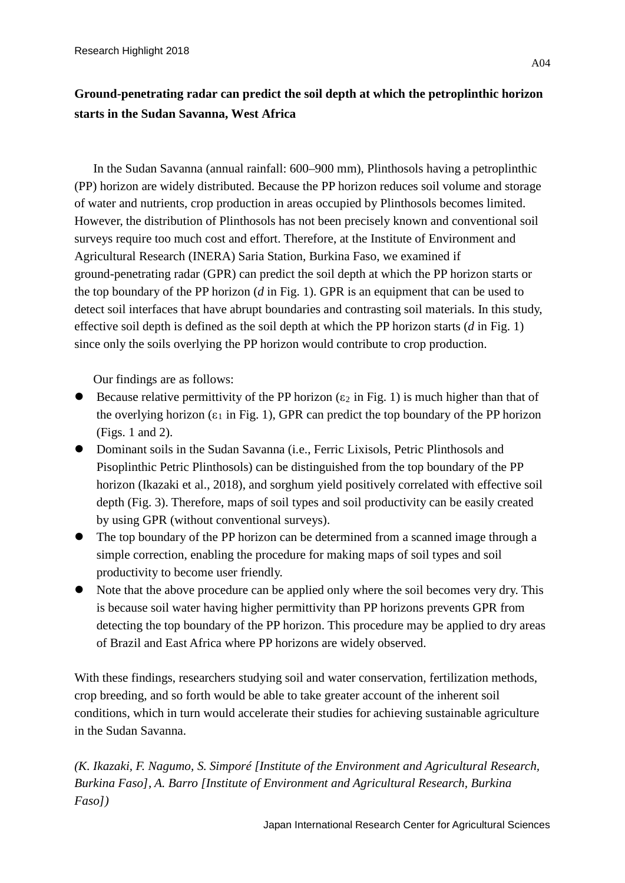## **Ground-penetrating radar can predict the soil depth at which the petroplinthic horizon starts in the Sudan Savanna, West Africa**

In the Sudan Savanna (annual rainfall: 600–900 mm), Plinthosols having a petroplinthic (PP) horizon are widely distributed. Because the PP horizon reduces soil volume and storage of water and nutrients, crop production in areas occupied by Plinthosols becomes limited. However, the distribution of Plinthosols has not been precisely known and conventional soil surveys require too much cost and effort. Therefore, at the Institute of Environment and Agricultural Research (INERA) Saria Station, Burkina Faso, we examined if ground-penetrating radar (GPR) can predict the soil depth at which the PP horizon starts or the top boundary of the PP horizon (*d* in Fig. 1). GPR is an equipment that can be used to detect soil interfaces that have abrupt boundaries and contrasting soil materials. In this study, effective soil depth is defined as the soil depth at which the PP horizon starts (*d* in Fig. 1) since only the soils overlying the PP horizon would contribute to crop production.

Our findings are as follows:

- Because relative permittivity of the PP horizon ( $\varepsilon_2$  in Fig. 1) is much higher than that of the overlying horizon ( $\varepsilon_1$  in Fig. 1), GPR can predict the top boundary of the PP horizon (Figs. 1 and 2).
- Dominant soils in the Sudan Savanna (i.e., Ferric Lixisols, Petric Plinthosols and Pisoplinthic Petric Plinthosols) can be distinguished from the top boundary of the PP horizon (Ikazaki et al., 2018), and sorghum yield positively correlated with effective soil depth (Fig. 3). Therefore, maps of soil types and soil productivity can be easily created by using GPR (without conventional surveys).
- The top boundary of the PP horizon can be determined from a scanned image through a simple correction, enabling the procedure for making maps of soil types and soil productivity to become user friendly.
- Note that the above procedure can be applied only where the soil becomes very dry. This is because soil water having higher permittivity than PP horizons prevents GPR from detecting the top boundary of the PP horizon. This procedure may be applied to dry areas of Brazil and East Africa where PP horizons are widely observed.

With these findings, researchers studying soil and water conservation, fertilization methods, crop breeding, and so forth would be able to take greater account of the inherent soil conditions, which in turn would accelerate their studies for achieving sustainable agriculture in the Sudan Savanna.

*(K. Ikazaki, F. Nagumo, S. Simporé [Institute of the Environment and Agricultural Research, Burkina Faso], A. Barro [Institute of Environment and Agricultural Research, Burkina Faso])*